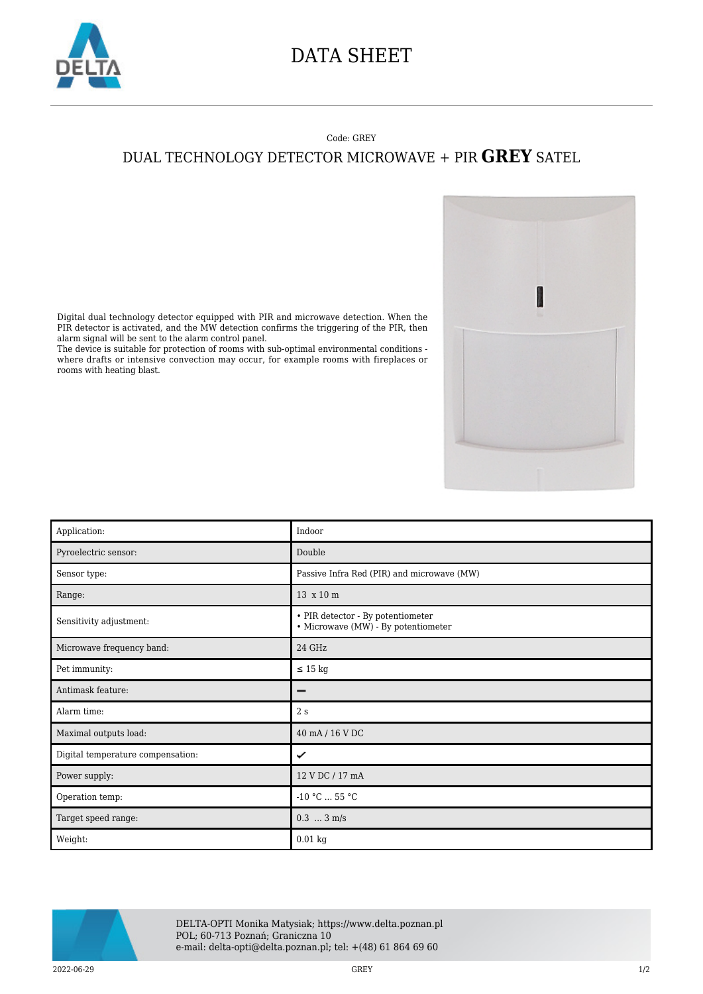

## DATA SHEET

## Code: GREY

## DUAL TECHNOLOGY DETECTOR MICROWAVE + PIR **GREY** SATEL

I

Digital dual technology detector equipped with PIR and microwave detection. When the PIR detector is activated, and the MW detection confirms the triggering of the PIR, then alarm signal will be sent to the alarm control panel.

The device is suitable for protection of rooms with sub-optimal environmental conditions where drafts or intensive convection may occur, for example rooms with fireplaces or rooms with heating blast.

| Application:                      | Indoor                                                                   |
|-----------------------------------|--------------------------------------------------------------------------|
| Pyroelectric sensor:              | Double                                                                   |
| Sensor type:                      | Passive Infra Red (PIR) and microwave (MW)                               |
| Range:                            | 13 x 10 m                                                                |
| Sensitivity adjustment:           | • PIR detector - By potentiometer<br>• Microwave (MW) - By potentiometer |
| Microwave frequency band:         | 24 GHz                                                                   |
| Pet immunity:                     | $\leq 15$ kg                                                             |
| Antimask feature:                 |                                                                          |
| Alarm time:                       | 2s                                                                       |
| Maximal outputs load:             | 40 mA / 16 V DC                                                          |
| Digital temperature compensation: | ✓                                                                        |
| Power supply:                     | 12 V DC / 17 mA                                                          |
| Operation temp:                   | $-10 °C  55 °C$                                                          |
| Target speed range:               | $0.3$ $3 \text{ m/s}$                                                    |
| Weight:                           | $0.01$ kg                                                                |



DELTA-OPTI Monika Matysiak; https://www.delta.poznan.pl POL; 60-713 Poznań; Graniczna 10 e-mail: delta-opti@delta.poznan.pl; tel: +(48) 61 864 69 60